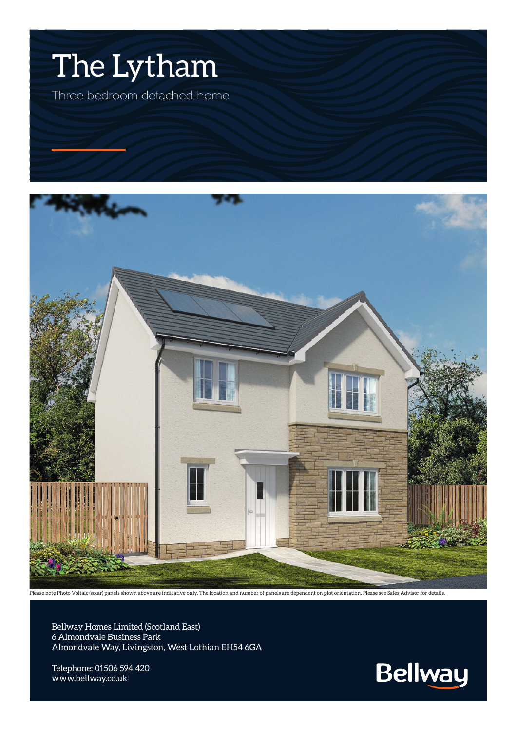



Please note Photo Voltaic (solar) panels shown above are indicative only. The location and number of panels are dependent on plot orientation. Please see Sales Advisor for details.

Bellway Homes Limited (Scotland East) 6 Almondvale Business Park Almondvale Way, Livingston, West Lothian EH54 6GA

Telephone: 01506 594 420 www.bellway.co.uk